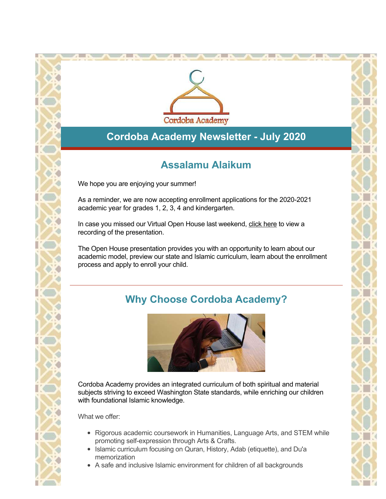

## **Cordoba Academy Newsletter - July 2020**

### **Assalamu Alaikum**

We hope you are enjoying your summer!

As a reminder, we are now accepting enrollment applications for the 2020-2021 academic year for grades 1, 2, 3, 4 and kindergarten.

In case you missed our Virtual Open House last weekend, [click here](http://r20.rs6.net/tn.jsp?f=001mpSGq19K-nXFrgBvjLawdvcPf5oL6Et8R6AwyibKQ6_z2jlLkHzxlI4DcaZzSbefCZKWXSSZDruJyImQUvF1zU72bROzSCzGkKPrSpISRliZxQ_Ep3RS5gOpfU9t11prx7tfuCyXKO6xZ01LIRs6l-s64g1kFnN2X3wVeo5n7o4-4loaw6Ibh171z-tspT6h&c=OMu9FuhlWCUqry15gjjWdjKre3htEnN5w988mRc7runI0IIAjCKSVg==&ch=Qkjc4SnI1XAqaj1NqLvXSCgGdrxHLdOf0u44EJOpUr_bXMKzj14ipg==) to view a recording of the presentation.

The Open House presentation provides you with an opportunity to learn about our academic model, preview our state and Islamic curriculum, learn about the enrollment process and apply to enroll your child.

# **Why Choose Cordoba Academy?**



Cordoba Academy provides an integrated curriculum of both spiritual and material subjects striving to exceed Washington State standards, while enriching our children with foundational Islamic knowledge.

What we offer:

- Rigorous academic coursework in Humanities, Language Arts, and STEM while promoting self-expression through Arts & Crafts.
- Islamic curriculum focusing on Quran, History, Adab (etiquette), and Du'a memorization
- A safe and inclusive Islamic environment for children of all backgrounds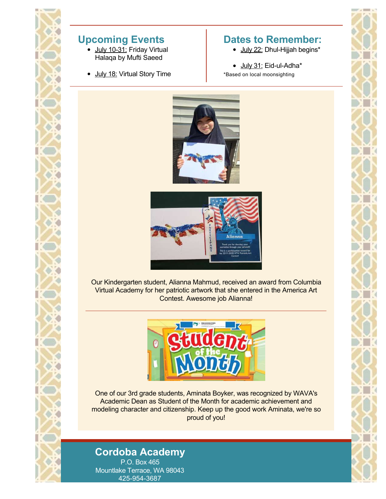#### **Upcoming Events**

- $\bullet$  July 10-31: Friday Virtual Halaqa by Mufti Saeed
- July 18: Virtual Story Time

## **Dates to Remember:**

- July 22: Dhul-Hijjah begins\*
- July 31: Eid-ul-Adha\* \*Based on local moonsighting





Our Kindergarten student, Alianna Mahmud, received an award from Columbia Virtual Academy for her patriotic artwork that she entered in the America Art Contest. Awesome job Alianna!



One of our 3rd grade students, Aminata Boyker, was recognized by WAVA's Academic Dean as Student of the Month for academic achievement and modeling character and citizenship. Keep up the good work Aminata, we're so proud of you!

**[Cordoba Academy](http://r20.rs6.net/tn.jsp?f=001mpSGq19K-nXFrgBvjLawdvcPf5oL6Et8R6AwyibKQ6_z2jlLkHzxlI4DcaZzSbefFfpjC10GH27l9OSisM-iyE1H0tTZ3oXQvUgIHKcpNp0__W8uHwuSEBj7cciF0lzroD-OPyq7dvjQRTDHN7b_nMMwMmJQmfx8&c=OMu9FuhlWCUqry15gjjWdjKre3htEnN5w988mRc7runI0IIAjCKSVg==&ch=Qkjc4SnI1XAqaj1NqLvXSCgGdrxHLdOf0u44EJOpUr_bXMKzj14ipg==)** P.O. Box 465 Mountlake Terrace, WA 98043 425-954-3687